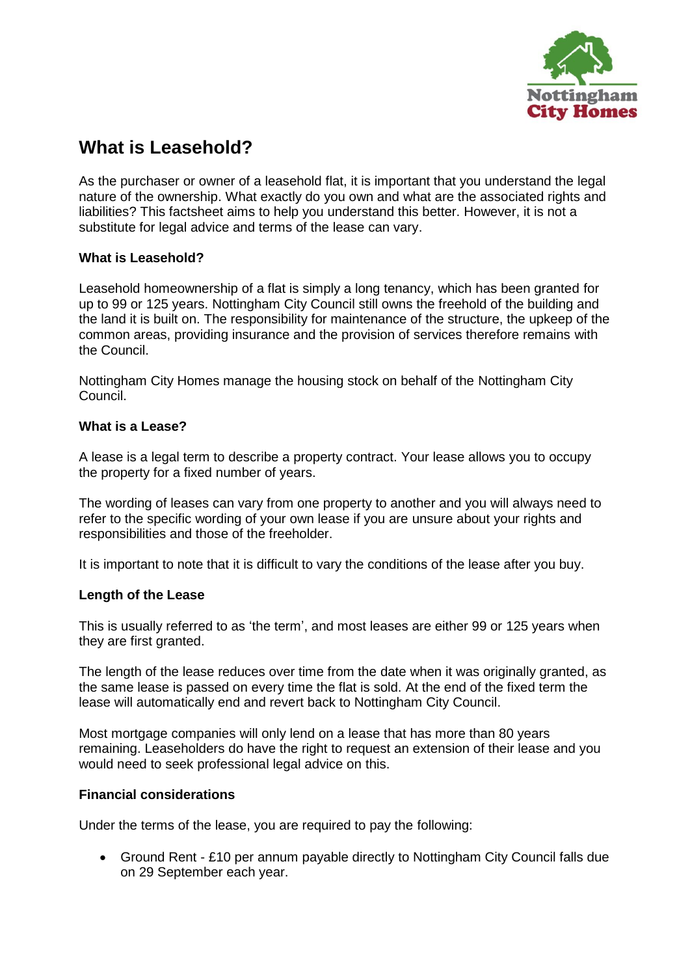

# **What is Leasehold?**

As the purchaser or owner of a leasehold flat, it is important that you understand the legal nature of the ownership. What exactly do you own and what are the associated rights and liabilities? This factsheet aims to help you understand this better. However, it is not a substitute for legal advice and terms of the lease can vary.

## **What is Leasehold?**

Leasehold homeownership of a flat is simply a long tenancy, which has been granted for up to 99 or 125 years. Nottingham City Council still owns the freehold of the building and the land it is built on. The responsibility for maintenance of the structure, the upkeep of the common areas, providing insurance and the provision of services therefore remains with the Council.

Nottingham City Homes manage the housing stock on behalf of the Nottingham City Council.

# **What is a Lease?**

A lease is a legal term to describe a property contract. Your lease allows you to occupy the property for a fixed number of years.

The wording of leases can vary from one property to another and you will always need to refer to the specific wording of your own lease if you are unsure about your rights and responsibilities and those of the freeholder.

It is important to note that it is difficult to vary the conditions of the lease after you buy.

## **Length of the Lease**

This is usually referred to as 'the term', and most leases are either 99 or 125 years when they are first granted.

The length of the lease reduces over time from the date when it was originally granted, as the same lease is passed on every time the flat is sold. At the end of the fixed term the lease will automatically end and revert back to Nottingham City Council.

Most mortgage companies will only lend on a lease that has more than 80 years remaining. Leaseholders do have the right to request an extension of their lease and you would need to seek professional legal advice on this.

## **Financial considerations**

Under the terms of the lease, you are required to pay the following:

 Ground Rent - £10 per annum payable directly to Nottingham City Council falls due on 29 September each year.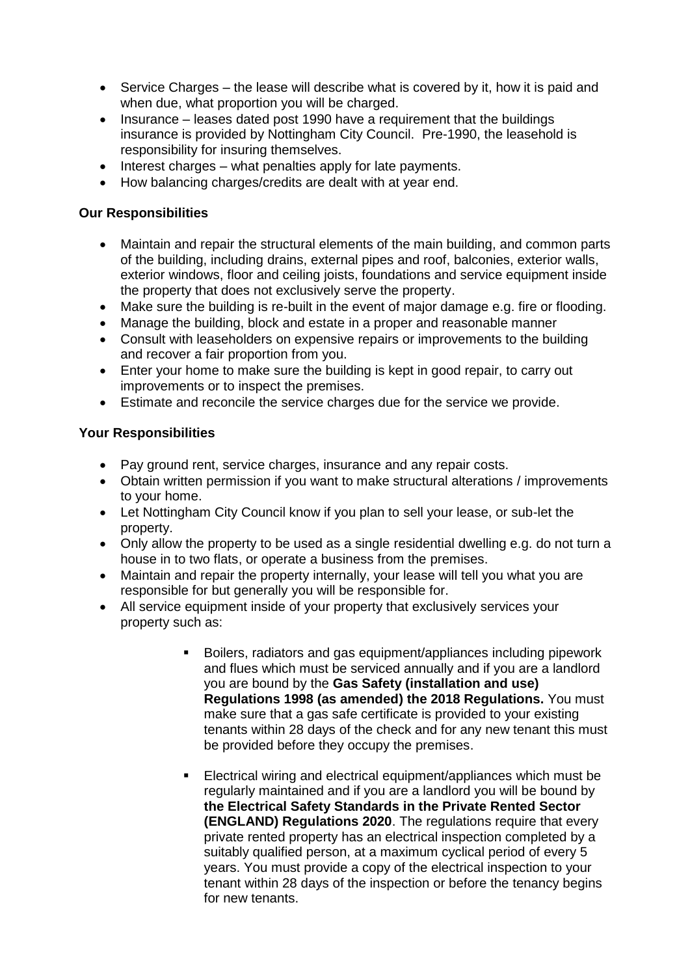- Service Charges the lease will describe what is covered by it, how it is paid and when due, what proportion you will be charged.
- Insurance leases dated post 1990 have a requirement that the buildings insurance is provided by Nottingham City Council. Pre-1990, the leasehold is responsibility for insuring themselves.
- $\bullet$  Interest charges what penalties apply for late payments.
- How balancing charges/credits are dealt with at year end.

## **Our Responsibilities**

- Maintain and repair the structural elements of the main building, and common parts of the building, including drains, external pipes and roof, balconies, exterior walls, exterior windows, floor and ceiling joists, foundations and service equipment inside the property that does not exclusively serve the property.
- Make sure the building is re-built in the event of major damage e.g. fire or flooding.
- Manage the building, block and estate in a proper and reasonable manner
- Consult with leaseholders on expensive repairs or improvements to the building and recover a fair proportion from you.
- Enter your home to make sure the building is kept in good repair, to carry out improvements or to inspect the premises.
- Estimate and reconcile the service charges due for the service we provide.

## **Your Responsibilities**

- Pay ground rent, service charges, insurance and any repair costs.
- Obtain written permission if you want to make structural alterations / improvements to your home.
- Let Nottingham City Council know if you plan to sell your lease, or sub-let the property.
- Only allow the property to be used as a single residential dwelling e.g. do not turn a house in to two flats, or operate a business from the premises.
- Maintain and repair the property internally, your lease will tell you what you are responsible for but generally you will be responsible for.
- All service equipment inside of your property that exclusively services your property such as:
	- Boilers, radiators and gas equipment/appliances including pipework and flues which must be serviced annually and if you are a landlord you are bound by the **Gas Safety (installation and use) Regulations 1998 (as amended) the 2018 Regulations.** You must make sure that a gas safe certificate is provided to your existing tenants within 28 days of the check and for any new tenant this must be provided before they occupy the premises.
	- Electrical wiring and electrical equipment/appliances which must be regularly maintained and if you are a landlord you will be bound by **the Electrical Safety Standards in the Private Rented Sector (ENGLAND) Regulations 2020**. The regulations require that every private rented property has an electrical inspection completed by a suitably qualified person, at a maximum cyclical period of every 5 years. You must provide a copy of the electrical inspection to your tenant within 28 days of the inspection or before the tenancy begins for new tenants.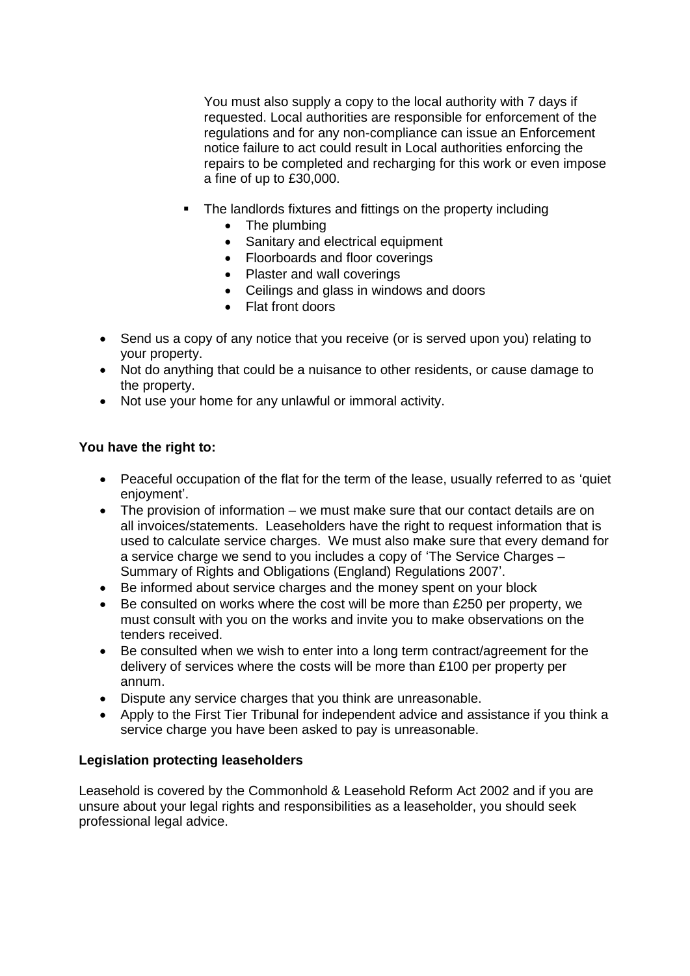You must also supply a copy to the local authority with 7 days if requested. Local authorities are responsible for enforcement of the regulations and for any non-compliance can issue an Enforcement notice failure to act could result in Local authorities enforcing the repairs to be completed and recharging for this work or even impose a fine of up to £30,000.

- The landlords fixtures and fittings on the property including
	- The plumbing
	- Sanitary and electrical equipment
	- Floorboards and floor coverings
	- Plaster and wall coverings
	- Ceilings and glass in windows and doors
	- Flat front doors
- Send us a copy of any notice that you receive (or is served upon you) relating to your property.
- Not do anything that could be a nuisance to other residents, or cause damage to the property.
- Not use your home for any unlawful or immoral activity.

## **You have the right to:**

- Peaceful occupation of the flat for the term of the lease, usually referred to as 'quiet enjoyment'.
- The provision of information we must make sure that our contact details are on all invoices/statements. Leaseholders have the right to request information that is used to calculate service charges. We must also make sure that every demand for a service charge we send to you includes a copy of 'The Service Charges – Summary of Rights and Obligations (England) Regulations 2007'.
- Be informed about service charges and the money spent on your block
- Be consulted on works where the cost will be more than £250 per property, we must consult with you on the works and invite you to make observations on the tenders received.
- Be consulted when we wish to enter into a long term contract/agreement for the delivery of services where the costs will be more than £100 per property per annum.
- Dispute any service charges that you think are unreasonable.
- Apply to the First Tier Tribunal for independent advice and assistance if you think a service charge you have been asked to pay is unreasonable.

## **Legislation protecting leaseholders**

Leasehold is covered by the Commonhold & Leasehold Reform Act 2002 and if you are unsure about your legal rights and responsibilities as a leaseholder, you should seek professional legal advice.